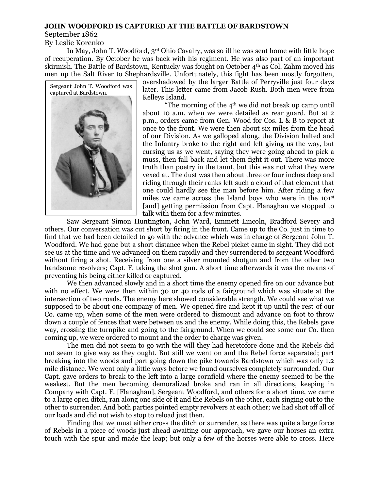## **JOHN WOODFORD IS CAPTURED AT THE BATTLE OF BARDSTOWN**

September 1862

By Leslie Korenko

In May, John T. Woodford, 3rd Ohio Cavalry, was so ill he was sent home with little hope of recuperation. By October he was back with his regiment. He was also part of an important skirmish. The Battle of Bardstown, Kentucky was fought on October 4th as Col. Zahm moved his men up the Salt River to Shephardsville. Unfortunately, this fight has been mostly forgotten,



overshadowed by the larger Battle of Perryville just four days later. This letter came from Jacob Rush. Both men were from Kelleys Island.

"The morning of the  $4<sup>th</sup>$  we did not break up camp until about 10 a.m. when we were detailed as rear guard. But at 2 p.m., orders came from Gen. Wood for Cos. L & B to report at once to the front. We were then about six miles from the head of our Division. As we galloped along, the Division halted and the Infantry broke to the right and left giving us the way, but cursing us as we went, saying they were going ahead to pick a muss, then fall back and let them fight it out. There was more truth than poetry in the taunt, but this was not what they were vexed at. The dust was then about three or four inches deep and riding through their ranks left such a cloud of that element that one could hardly see the man before him. After riding a few miles we came across the Island boys who were in the 101st [and] getting permission from Capt. Flanaghan we stopped to talk with them for a few minutes.

Saw Sergeant Simon Huntington, John Ward, Emmett Lincoln, Bradford Severy and others. Our conversation was cut short by firing in the front. Came up to the Co. just in time to find that we had been detailed to go with the advance which was in charge of Sergeant John T. Woodford. We had gone but a short distance when the Rebel picket came in sight. They did not see us at the time and we advanced on them rapidly and they surrendered to sergeant Woodford without firing a shot. Receiving from one a silver mounted shotgun and from the other two handsome revolvers; Capt. F. taking the shot gun. A short time afterwards it was the means of preventing his being either killed or captured.

We then advanced slowly and in a short time the enemy opened fire on our advance but with no effect. We were then within 30 or 40 rods of a fairground which was situate at the intersection of two roads. The enemy here showed considerable strength. We could see what we supposed to be about one company of men. We opened fire and kept it up until the rest of our Co. came up, when some of the men were ordered to dismount and advance on foot to throw down a couple of fences that were between us and the enemy. While doing this, the Rebels gave way, crossing the turnpike and going to the fairground. When we could see some our Co. then coming up, we were ordered to mount and the order to charge was given.

The men did not seem to go with the will they had heretofore done and the Rebels did not seem to give way as they ought. But still we went on and the Rebel force separated; part breaking into the woods and part going down the pike towards Bardstown which was only 1.2 mile distance. We went only a little ways before we found ourselves completely surrounded. Our Capt. gave orders to break to the left into a large cornfield where the enemy seemed to be the weakest. But the men becoming demoralized broke and ran in all directions, keeping in Company with Capt. F. [Flanaghan], Sergeant Woodford, and others for a short time, we came to a large open ditch, ran along one side of it and the Rebels on the other, each singing out to the other to surrender. And both parties pointed empty revolvers at each other; we had shot off all of our loads and did not wish to stop to reload just then.

Finding that we must either cross the ditch or surrender, as there was quite a large force of Rebels in a piece of woods just ahead awaiting our approach, we gave our horses an extra touch with the spur and made the leap; but only a few of the horses were able to cross. Here